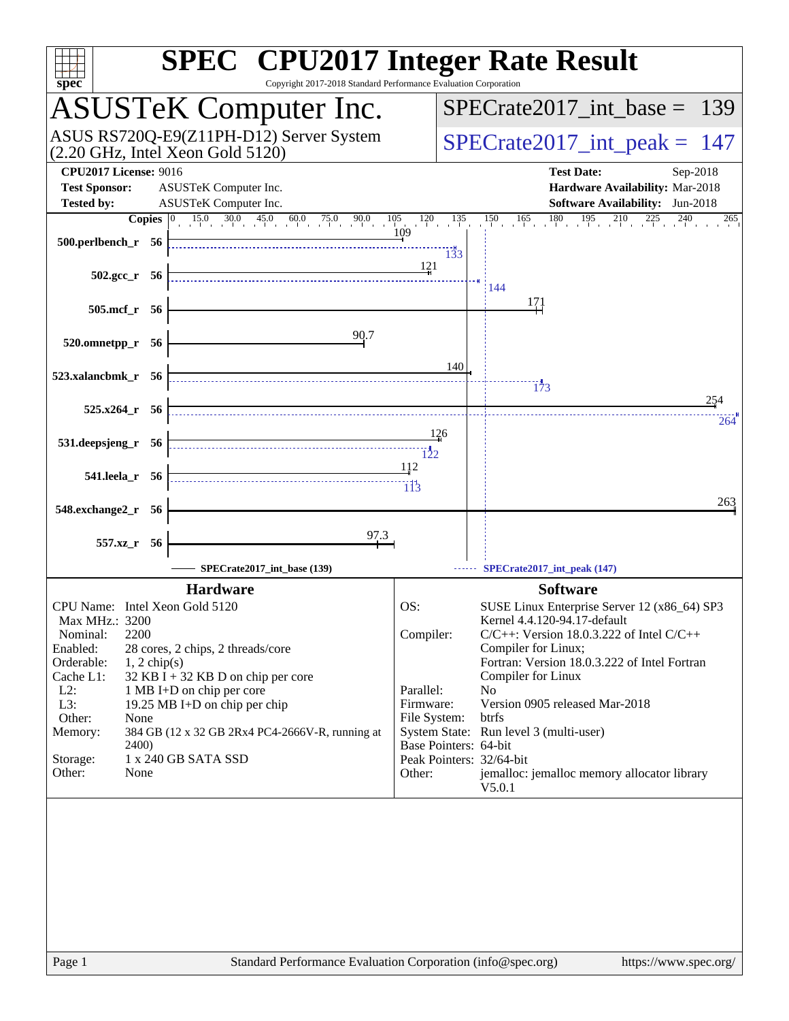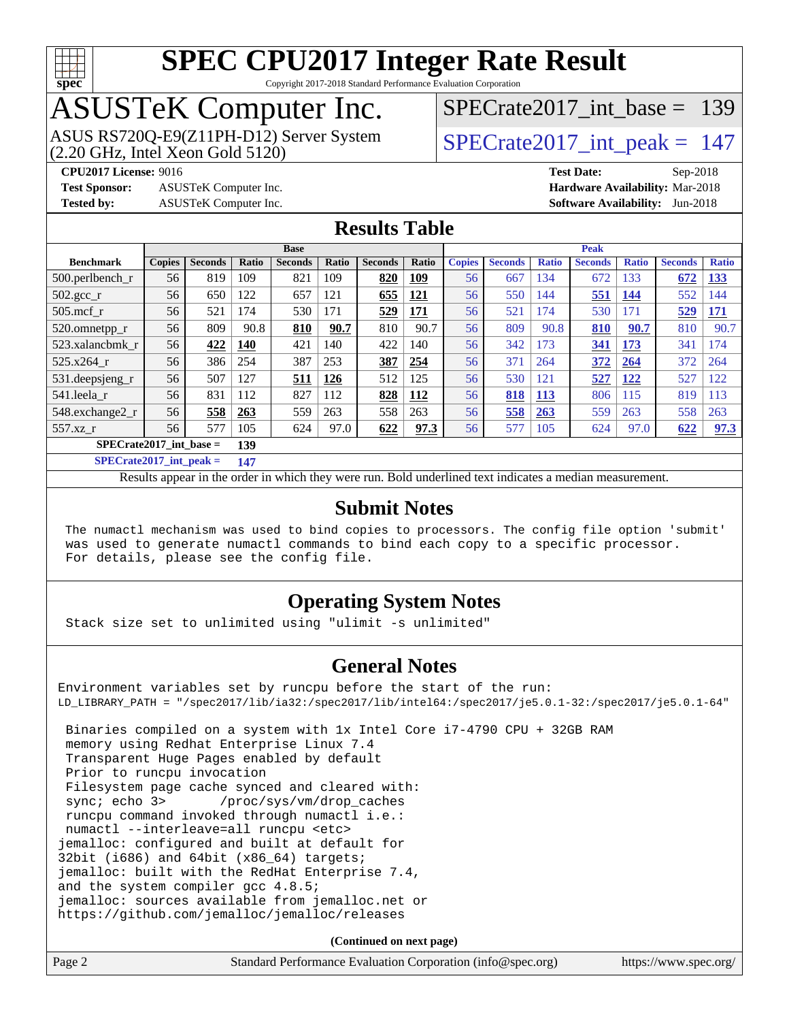

### **[SPEC CPU2017 Integer Rate Result](http://www.spec.org/auto/cpu2017/Docs/result-fields.html#SPECCPU2017IntegerRateResult)** Copyright 2017-2018 Standard Performance Evaluation Corporation

# ASUSTeK Computer Inc.

ASUS RS720Q-E9(Z11PH-D12) Server System  $(2.20 \text{ GHz}, \text{ Intel Xeon Gold } 5120)$ 

[SPECrate2017\\_int\\_base =](http://www.spec.org/auto/cpu2017/Docs/result-fields.html#SPECrate2017intbase) 139

**[CPU2017 License:](http://www.spec.org/auto/cpu2017/Docs/result-fields.html#CPU2017License)** 9016 **[Test Date:](http://www.spec.org/auto/cpu2017/Docs/result-fields.html#TestDate)** Sep-2018

**[Test Sponsor:](http://www.spec.org/auto/cpu2017/Docs/result-fields.html#TestSponsor)** ASUSTeK Computer Inc. **[Hardware Availability:](http://www.spec.org/auto/cpu2017/Docs/result-fields.html#HardwareAvailability)** Mar-2018

**[Tested by:](http://www.spec.org/auto/cpu2017/Docs/result-fields.html#Testedby)** ASUSTeK Computer Inc. **[Software Availability:](http://www.spec.org/auto/cpu2017/Docs/result-fields.html#SoftwareAvailability)** Jun-2018

## **[Results Table](http://www.spec.org/auto/cpu2017/Docs/result-fields.html#ResultsTable)**

|                           | <b>Base</b>   |                |       |                |              |                | <b>Peak</b>  |               |                |              |                |              |                |              |
|---------------------------|---------------|----------------|-------|----------------|--------------|----------------|--------------|---------------|----------------|--------------|----------------|--------------|----------------|--------------|
| <b>Benchmark</b>          | <b>Copies</b> | <b>Seconds</b> | Ratio | <b>Seconds</b> | <b>Ratio</b> | <b>Seconds</b> | <b>Ratio</b> | <b>Copies</b> | <b>Seconds</b> | <b>Ratio</b> | <b>Seconds</b> | <b>Ratio</b> | <b>Seconds</b> | <b>Ratio</b> |
| $500$ .perlbench r        | 56            | 819            | 109   | 821            | 109          | 820            | <u>109</u>   | 56            | 667            | 134          | 672            | 133          | 672            | <u>133</u>   |
| $502.\text{sec}$          | 56            | 650            | 122   | 657            | 121          | 655            | 121          | 56            | 550            | 144          | 551            | 144          | 552            | 144          |
| $505$ .mcf r              | 56            | 521            | 174   | 530            | 171          | 529            | 171          | 56            | 521            | 174          | 530            | 171          | 529            | <b>171</b>   |
| 520.omnetpp_r             | 56            | 809            | 90.8  | 810            | 90.7         | 810            | 90.7         | 56            | 809            | 90.8         | 810            | 90.7         | 810            | 90.7         |
| 523.xalancbmk r           | 56            | 422            | 140   | 421            | 140          | 422            | 140          | 56            | 342            | 173          | 341            | 173          | 341            | 74           |
| 525.x264 r                | 56            | 386            | 254   | 387            | 253          | 387            | 254          | 56            | 371            | 264          | 372            | 264          | 372            | 264          |
| 531.deepsjeng_r           | 56            | 507            | 127   | 511            | 126          | 512            | 125          | 56            | 530            | 121          | 527            | 122          | 527            | 122          |
| 541.leela r               | 56            | 831            | 112   | 827            | 112          | 828            | 112          | 56            | 818            | <b>113</b>   | 806            | 115          | 819            | 113          |
| 548.exchange2_r           | 56            | 558            | 263   | 559            | 263          | 558            | 263          | 56            | 558            | 263          | 559            | 263          | 558            | 263          |
| 557.xz r                  | 56            | 577            | 105   | 624            | 97.0         | 622            | 97.3         | 56            | 577            | 105          | 624            | 97.0         | 622            | 97.3         |
| $SPECrate2017$ int base = |               |                | 139   |                |              |                |              |               |                |              |                |              |                |              |

**[SPECrate2017\\_int\\_peak =](http://www.spec.org/auto/cpu2017/Docs/result-fields.html#SPECrate2017intpeak) 147**

Results appear in the [order in which they were run.](http://www.spec.org/auto/cpu2017/Docs/result-fields.html#RunOrder) Bold underlined text [indicates a median measurement.](http://www.spec.org/auto/cpu2017/Docs/result-fields.html#Median)

### **[Submit Notes](http://www.spec.org/auto/cpu2017/Docs/result-fields.html#SubmitNotes)**

 The numactl mechanism was used to bind copies to processors. The config file option 'submit' was used to generate numactl commands to bind each copy to a specific processor. For details, please see the config file.

## **[Operating System Notes](http://www.spec.org/auto/cpu2017/Docs/result-fields.html#OperatingSystemNotes)**

Stack size set to unlimited using "ulimit -s unlimited"

## **[General Notes](http://www.spec.org/auto/cpu2017/Docs/result-fields.html#GeneralNotes)**

Environment variables set by runcpu before the start of the run: LD\_LIBRARY\_PATH = "/spec2017/lib/ia32:/spec2017/lib/intel64:/spec2017/je5.0.1-32:/spec2017/je5.0.1-64"

 Binaries compiled on a system with 1x Intel Core i7-4790 CPU + 32GB RAM memory using Redhat Enterprise Linux 7.4 Transparent Huge Pages enabled by default Prior to runcpu invocation Filesystem page cache synced and cleared with: sync; echo 3> /proc/sys/vm/drop\_caches runcpu command invoked through numactl i.e.: numactl --interleave=all runcpu <etc> jemalloc: configured and built at default for 32bit (i686) and 64bit (x86\_64) targets; jemalloc: built with the RedHat Enterprise 7.4, and the system compiler gcc 4.8.5; jemalloc: sources available from jemalloc.net or <https://github.com/jemalloc/jemalloc/releases>

**(Continued on next page)**

| Page 2 | Standard Performance Evaluation Corporation (info@spec.org) | https://www.spec.org/ |
|--------|-------------------------------------------------------------|-----------------------|
|        |                                                             |                       |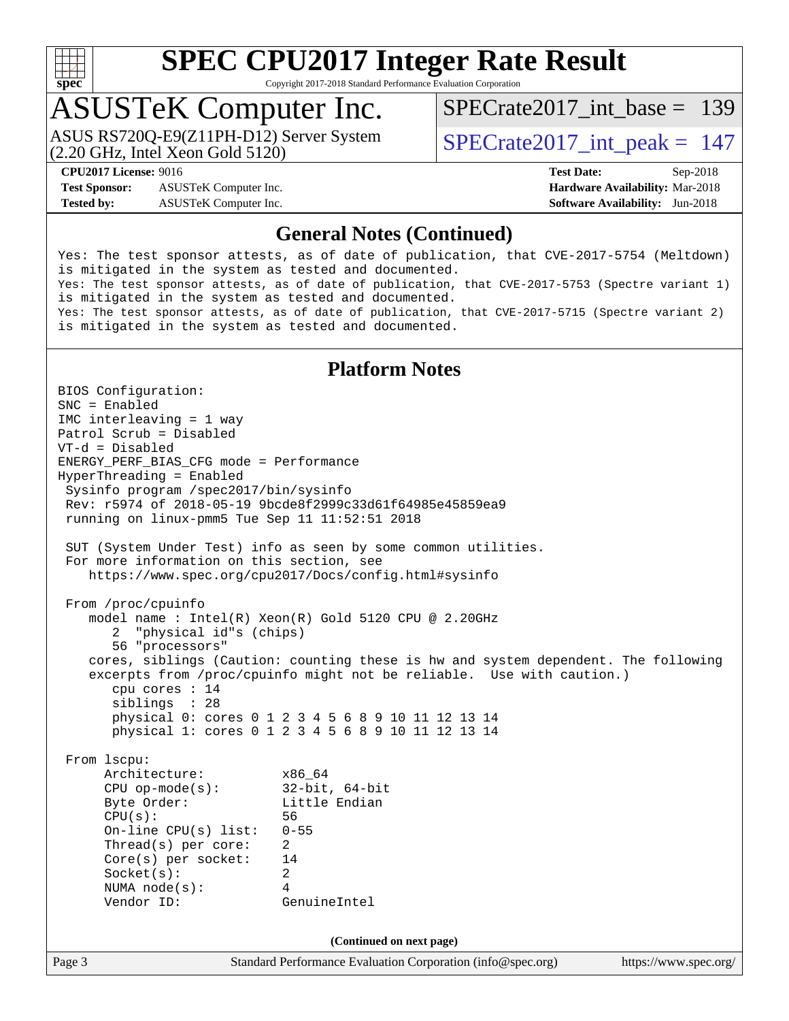

Copyright 2017-2018 Standard Performance Evaluation Corporation

## ASUSTeK Computer Inc.

(2.20 GHz, Intel Xeon Gold 5120) ASUS RS720Q-E9(Z11PH-D12) Server System  $\overline{SPECrate2017\_int\_peak} = 147$ 

[SPECrate2017\\_int\\_base =](http://www.spec.org/auto/cpu2017/Docs/result-fields.html#SPECrate2017intbase) 139

**[CPU2017 License:](http://www.spec.org/auto/cpu2017/Docs/result-fields.html#CPU2017License)** 9016 **[Test Date:](http://www.spec.org/auto/cpu2017/Docs/result-fields.html#TestDate)** Sep-2018

**[Test Sponsor:](http://www.spec.org/auto/cpu2017/Docs/result-fields.html#TestSponsor)** ASUSTeK Computer Inc. **[Hardware Availability:](http://www.spec.org/auto/cpu2017/Docs/result-fields.html#HardwareAvailability)** Mar-2018 **[Tested by:](http://www.spec.org/auto/cpu2017/Docs/result-fields.html#Testedby)** ASUSTeK Computer Inc. **[Software Availability:](http://www.spec.org/auto/cpu2017/Docs/result-fields.html#SoftwareAvailability)** Jun-2018

### **[General Notes \(Continued\)](http://www.spec.org/auto/cpu2017/Docs/result-fields.html#GeneralNotes)**

Yes: The test sponsor attests, as of date of publication, that CVE-2017-5754 (Meltdown) is mitigated in the system as tested and documented. Yes: The test sponsor attests, as of date of publication, that CVE-2017-5753 (Spectre variant 1) is mitigated in the system as tested and documented. Yes: The test sponsor attests, as of date of publication, that CVE-2017-5715 (Spectre variant 2) is mitigated in the system as tested and documented.

## **[Platform Notes](http://www.spec.org/auto/cpu2017/Docs/result-fields.html#PlatformNotes)**

Page 3 Standard Performance Evaluation Corporation [\(info@spec.org\)](mailto:info@spec.org) <https://www.spec.org/> BIOS Configuration: SNC = Enabled IMC interleaving = 1 way Patrol Scrub = Disabled VT-d = Disabled ENERGY\_PERF\_BIAS\_CFG mode = Performance HyperThreading = Enabled Sysinfo program /spec2017/bin/sysinfo Rev: r5974 of 2018-05-19 9bcde8f2999c33d61f64985e45859ea9 running on linux-pmm5 Tue Sep 11 11:52:51 2018 SUT (System Under Test) info as seen by some common utilities. For more information on this section, see <https://www.spec.org/cpu2017/Docs/config.html#sysinfo> From /proc/cpuinfo model name : Intel(R) Xeon(R) Gold 5120 CPU @ 2.20GHz 2 "physical id"s (chips) 56 "processors" cores, siblings (Caution: counting these is hw and system dependent. The following excerpts from /proc/cpuinfo might not be reliable. Use with caution.) cpu cores : 14 siblings : 28 physical 0: cores 0 1 2 3 4 5 6 8 9 10 11 12 13 14 physical 1: cores 0 1 2 3 4 5 6 8 9 10 11 12 13 14 From lscpu: Architecture: x86\_64 CPU op-mode(s): 32-bit, 64-bit Byte Order: Little Endian CPU(s): 56 On-line CPU(s) list: 0-55 Thread(s) per core: 2 Core(s) per socket: 14 Socket(s): 2 NUMA node(s): 4 Vendor ID: GenuineIntel **(Continued on next page)**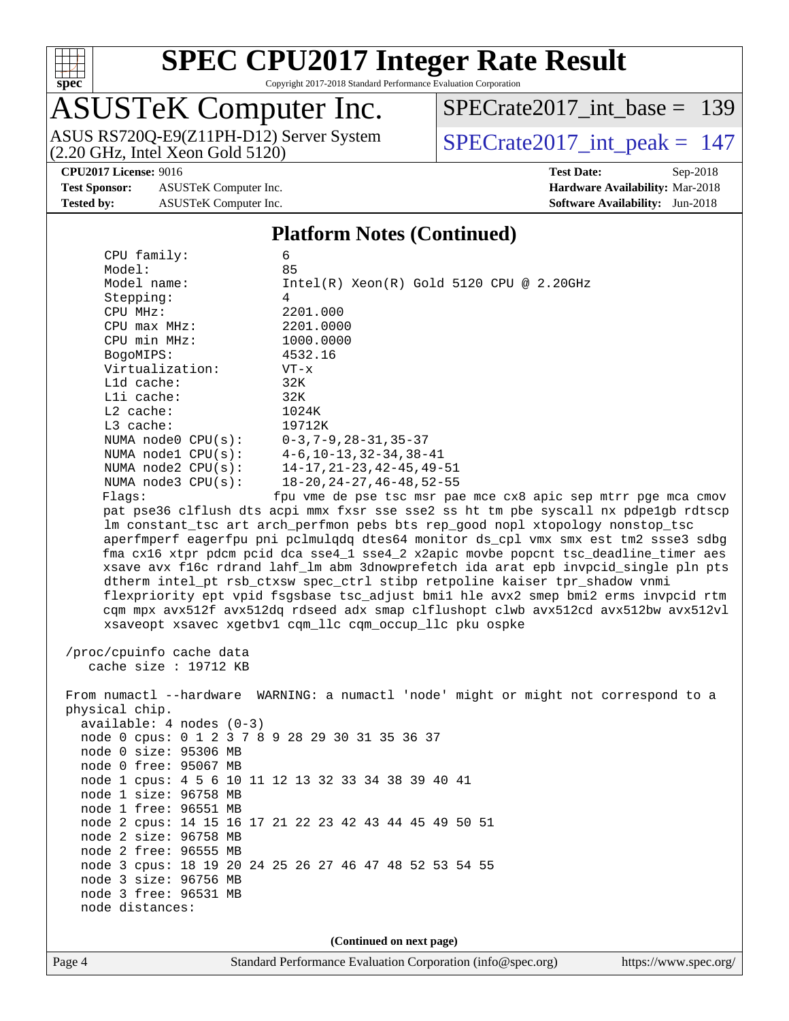

Copyright 2017-2018 Standard Performance Evaluation Corporation

# ASUSTeK Computer Inc.

(2.20 GHz, Intel Xeon Gold 5120) ASUS RS720Q-E9(Z11PH-D12) Server System  $\overline{SPECrate2017\_int\_peak} = 147$ 

[SPECrate2017\\_int\\_base =](http://www.spec.org/auto/cpu2017/Docs/result-fields.html#SPECrate2017intbase) 139

**[Test Sponsor:](http://www.spec.org/auto/cpu2017/Docs/result-fields.html#TestSponsor)** ASUSTeK Computer Inc. **[Hardware Availability:](http://www.spec.org/auto/cpu2017/Docs/result-fields.html#HardwareAvailability)** Mar-2018 **[Tested by:](http://www.spec.org/auto/cpu2017/Docs/result-fields.html#Testedby)** ASUSTeK Computer Inc. **[Software Availability:](http://www.spec.org/auto/cpu2017/Docs/result-fields.html#SoftwareAvailability)** Jun-2018

# **[CPU2017 License:](http://www.spec.org/auto/cpu2017/Docs/result-fields.html#CPU2017License)** 9016 **[Test Date:](http://www.spec.org/auto/cpu2017/Docs/result-fields.html#TestDate)** Sep-2018

### **[Platform Notes \(Continued\)](http://www.spec.org/auto/cpu2017/Docs/result-fields.html#PlatformNotes)**

 CPU family: 6 Model: 85 Model name: Intel(R) Xeon(R) Gold 5120 CPU @ 2.20GHz Stepping: 4 CPU MHz: 2201.000 CPU max MHz: 2201.0000 CPU min MHz: 1000.0000 BogoMIPS: 4532.16 Virtualization: VT-x L1d cache: 32K L1i cache: 32K L2 cache: 1024K L3 cache: 19712K NUMA node0 CPU(s): 0-3,7-9,28-31,35-37 NUMA node1 CPU(s): 4-6,10-13,32-34,38-41 NUMA node2 CPU(s): 14-17,21-23,42-45,49-51 NUMA node3 CPU(s): 18-20,24-27,46-48,52-55 Flags: fpu vme de pse tsc msr pae mce cx8 apic sep mtrr pge mca cmov pat pse36 clflush dts acpi mmx fxsr sse sse2 ss ht tm pbe syscall nx pdpe1gb rdtscp lm constant\_tsc art arch\_perfmon pebs bts rep\_good nopl xtopology nonstop\_tsc aperfmperf eagerfpu pni pclmulqdq dtes64 monitor ds\_cpl vmx smx est tm2 ssse3 sdbg fma cx16 xtpr pdcm pcid dca sse4\_1 sse4\_2 x2apic movbe popcnt tsc\_deadline\_timer aes xsave avx f16c rdrand lahf\_lm abm 3dnowprefetch ida arat epb invpcid\_single pln pts dtherm intel\_pt rsb\_ctxsw spec\_ctrl stibp retpoline kaiser tpr\_shadow vnmi flexpriority ept vpid fsgsbase tsc\_adjust bmi1 hle avx2 smep bmi2 erms invpcid rtm cqm mpx avx512f avx512dq rdseed adx smap clflushopt clwb avx512cd avx512bw avx512vl xsaveopt xsavec xgetbv1 cqm\_llc cqm\_occup\_llc pku ospke /proc/cpuinfo cache data cache size : 19712 KB From numactl --hardware WARNING: a numactl 'node' might or might not correspond to a physical chip. available: 4 nodes (0-3) node 0 cpus: 0 1 2 3 7 8 9 28 29 30 31 35 36 37 node 0 size: 95306 MB node 0 free: 95067 MB node 1 cpus: 4 5 6 10 11 12 13 32 33 34 38 39 40 41 node 1 size: 96758 MB node 1 free: 96551 MB node 2 cpus: 14 15 16 17 21 22 23 42 43 44 45 49 50 51 node 2 size: 96758 MB node 2 free: 96555 MB node 3 cpus: 18 19 20 24 25 26 27 46 47 48 52 53 54 55 node 3 size: 96756 MB node 3 free: 96531 MB node distances:

**(Continued on next page)**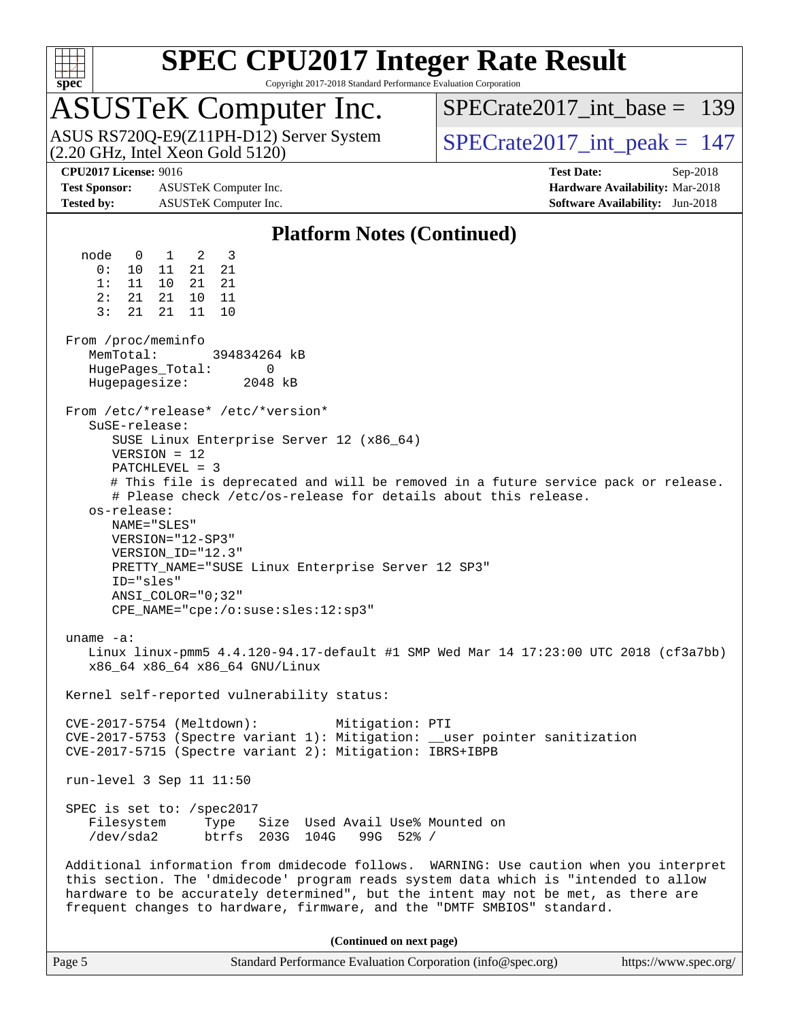

Copyright 2017-2018 Standard Performance Evaluation Corporation

## ASUSTeK Computer Inc.

 $(2.20 \text{ GHz}, \text{ Intel Xeon}$  Gold  $5120)$ ASUS RS720Q-E9(Z11PH-D12) Server System  $\overline{SPECrate2017\_int\_peak} = 147$ 

[SPECrate2017\\_int\\_base =](http://www.spec.org/auto/cpu2017/Docs/result-fields.html#SPECrate2017intbase) 139

**[Test Sponsor:](http://www.spec.org/auto/cpu2017/Docs/result-fields.html#TestSponsor)** ASUSTeK Computer Inc. **[Hardware Availability:](http://www.spec.org/auto/cpu2017/Docs/result-fields.html#HardwareAvailability)** Mar-2018 **[Tested by:](http://www.spec.org/auto/cpu2017/Docs/result-fields.html#Testedby)** ASUSTeK Computer Inc. **[Software Availability:](http://www.spec.org/auto/cpu2017/Docs/result-fields.html#SoftwareAvailability)** Jun-2018

**[CPU2017 License:](http://www.spec.org/auto/cpu2017/Docs/result-fields.html#CPU2017License)** 9016 **[Test Date:](http://www.spec.org/auto/cpu2017/Docs/result-fields.html#TestDate)** Sep-2018

### **[Platform Notes \(Continued\)](http://www.spec.org/auto/cpu2017/Docs/result-fields.html#PlatformNotes)**

 node 0 1 2 3 0: 10 11 21 21 1: 11 10 21 21 2: 21 21 10 11 3: 21 21 11 10 From /proc/meminfo<br>MemTotal: 394834264 kB HugePages\_Total: 0 Hugepagesize: 2048 kB From /etc/\*release\* /etc/\*version\* SuSE-release: SUSE Linux Enterprise Server 12 (x86\_64) VERSION = 12 PATCHLEVEL = 3 # This file is deprecated and will be removed in a future service pack or release. # Please check /etc/os-release for details about this release. os-release: NAME="SLES" VERSION="12-SP3" VERSION\_ID="12.3" PRETTY\_NAME="SUSE Linux Enterprise Server 12 SP3" ID="sles" ANSI\_COLOR="0;32" CPE\_NAME="cpe:/o:suse:sles:12:sp3" uname -a: Linux linux-pmm5 4.4.120-94.17-default #1 SMP Wed Mar 14 17:23:00 UTC 2018 (cf3a7bb) x86\_64 x86\_64 x86\_64 GNU/Linux Kernel self-reported vulnerability status: CVE-2017-5754 (Meltdown): Mitigation: PTI CVE-2017-5753 (Spectre variant 1): Mitigation: \_\_user pointer sanitization CVE-2017-5715 (Spectre variant 2): Mitigation: IBRS+IBPB run-level 3 Sep 11 11:50 SPEC is set to: /spec2017 Filesystem Type Size Used Avail Use% Mounted on /dev/sda2 btrfs 203G 104G 99G 52% / Additional information from dmidecode follows. WARNING: Use caution when you interpret this section. The 'dmidecode' program reads system data which is "intended to allow hardware to be accurately determined", but the intent may not be met, as there are frequent changes to hardware, firmware, and the "DMTF SMBIOS" standard. **(Continued on next page)**

| https://www.spec.org/ |
|-----------------------|
|                       |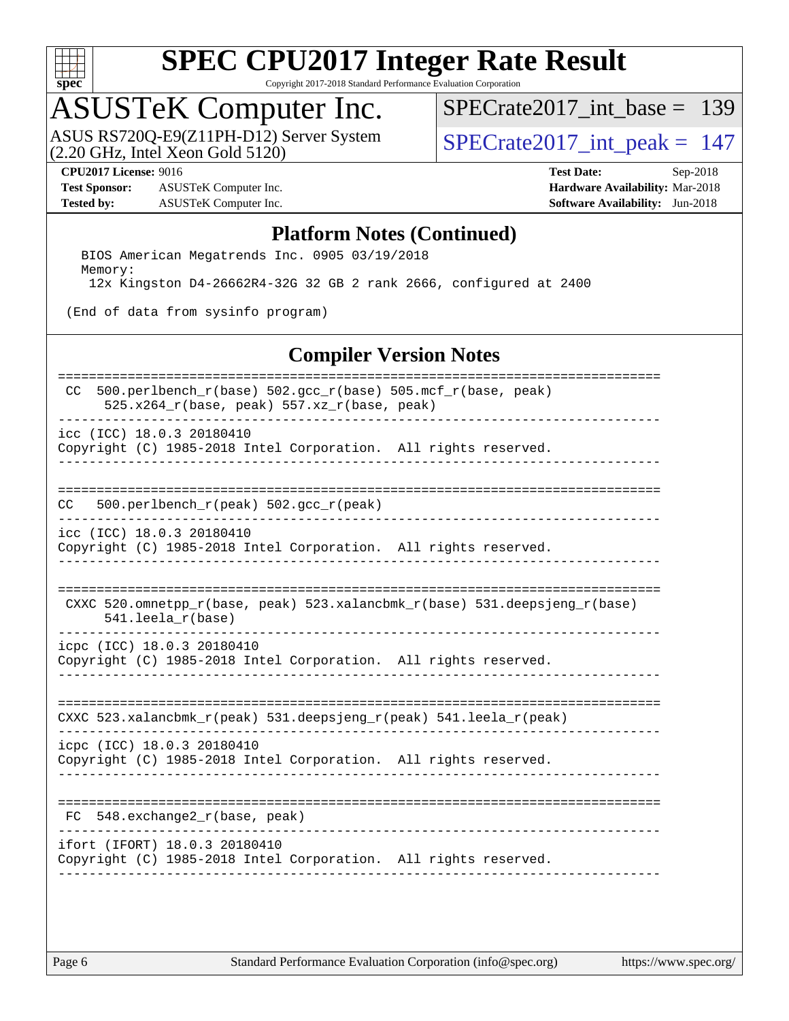

Copyright 2017-2018 Standard Performance Evaluation Corporation

# ASUSTeK Computer Inc.

ASUS RS720Q-E9(Z11PH-D12) Server System  $(2.20 \text{ GHz}, \text{ Intel Xeon Gold } 5120)$ 

[SPECrate2017\\_int\\_base =](http://www.spec.org/auto/cpu2017/Docs/result-fields.html#SPECrate2017intbase) 139

**[Test Sponsor:](http://www.spec.org/auto/cpu2017/Docs/result-fields.html#TestSponsor)** ASUSTeK Computer Inc. **[Hardware Availability:](http://www.spec.org/auto/cpu2017/Docs/result-fields.html#HardwareAvailability)** Mar-2018 **[Tested by:](http://www.spec.org/auto/cpu2017/Docs/result-fields.html#Testedby)** ASUSTeK Computer Inc. **[Software Availability:](http://www.spec.org/auto/cpu2017/Docs/result-fields.html#SoftwareAvailability)** Jun-2018

**[CPU2017 License:](http://www.spec.org/auto/cpu2017/Docs/result-fields.html#CPU2017License)** 9016 **[Test Date:](http://www.spec.org/auto/cpu2017/Docs/result-fields.html#TestDate)** Sep-2018

### **[Platform Notes \(Continued\)](http://www.spec.org/auto/cpu2017/Docs/result-fields.html#PlatformNotes)**

 BIOS American Megatrends Inc. 0905 03/19/2018 Memory: 12x Kingston D4-26662R4-32G 32 GB 2 rank 2666, configured at 2400

(End of data from sysinfo program)

### **[Compiler Version Notes](http://www.spec.org/auto/cpu2017/Docs/result-fields.html#CompilerVersionNotes)**

| 500.perlbench_r(base) 502.gcc_r(base) 505.mcf_r(base, peak)<br>CC.<br>525.x264_r(base, peak) 557.xz_r(base, peak) |
|-------------------------------------------------------------------------------------------------------------------|
| icc (ICC) 18.0.3 20180410<br>Copyright (C) 1985-2018 Intel Corporation. All rights reserved.                      |
| 500.perlbench_r(peak) 502.gcc_r(peak)<br>CC.                                                                      |
| icc (ICC) 18.0.3 20180410<br>Copyright (C) 1985-2018 Intel Corporation. All rights reserved.                      |
| CXXC 520.omnetpp_r(base, peak) 523.xalancbmk_r(base) 531.deepsjeng_r(base)<br>541.leela_r(base)                   |
| icpc (ICC) 18.0.3 20180410<br>Copyright (C) 1985-2018 Intel Corporation. All rights reserved.                     |
| CXXC 523.xalancbmk_r(peak) 531.deepsjeng_r(peak) 541.leela_r(peak)                                                |
| icpc (ICC) 18.0.3 20180410<br>Copyright (C) 1985-2018 Intel Corporation. All rights reserved.                     |
| FC 548.exchange2_r(base, peak)                                                                                    |
| ifort (IFORT) 18.0.3 20180410<br>Copyright (C) 1985-2018 Intel Corporation. All rights reserved.                  |
|                                                                                                                   |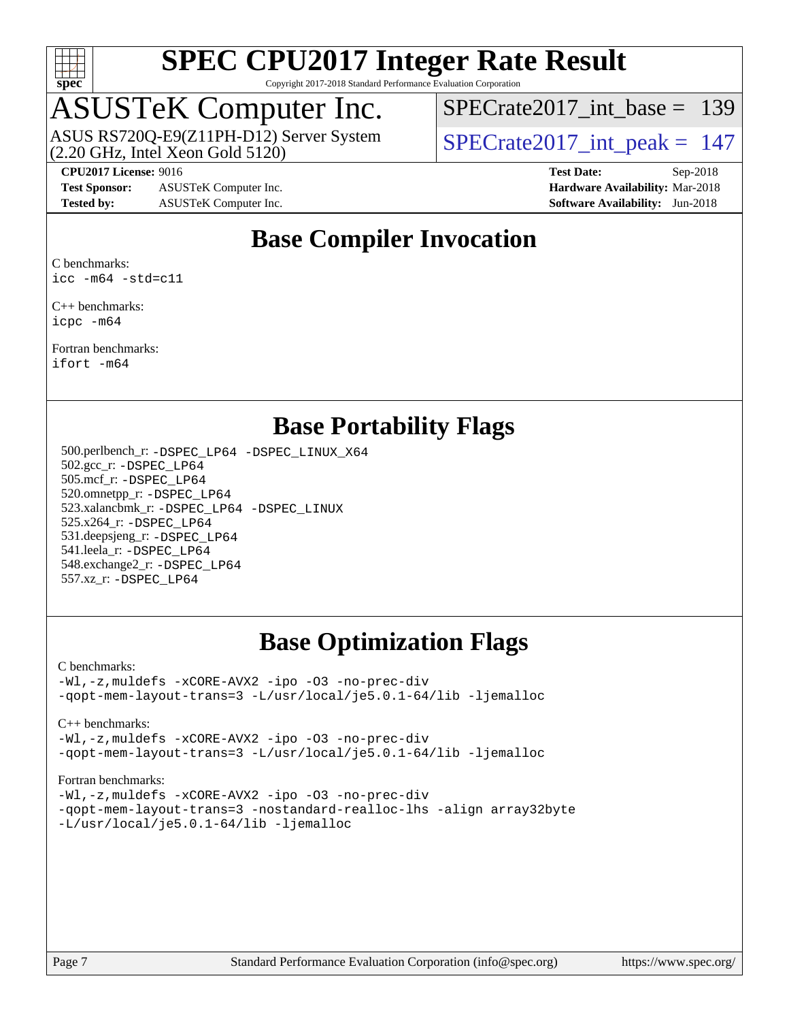

Copyright 2017-2018 Standard Performance Evaluation Corporation

## ASUSTeK Computer Inc.

 $(2.20 \text{ GHz}, \text{ Intel Xeon}$  Gold  $5120)$ ASUS RS720Q-E9(Z11PH-D12) Server System  $\sqrt{\text{SPECrate}2017\_int\_peak} = 147$ 

[SPECrate2017\\_int\\_base =](http://www.spec.org/auto/cpu2017/Docs/result-fields.html#SPECrate2017intbase) 139

**[Test Sponsor:](http://www.spec.org/auto/cpu2017/Docs/result-fields.html#TestSponsor)** ASUSTeK Computer Inc. **[Hardware Availability:](http://www.spec.org/auto/cpu2017/Docs/result-fields.html#HardwareAvailability)** Mar-2018 **[Tested by:](http://www.spec.org/auto/cpu2017/Docs/result-fields.html#Testedby)** ASUSTeK Computer Inc. **[Software Availability:](http://www.spec.org/auto/cpu2017/Docs/result-fields.html#SoftwareAvailability)** Jun-2018

**[CPU2017 License:](http://www.spec.org/auto/cpu2017/Docs/result-fields.html#CPU2017License)** 9016 **[Test Date:](http://www.spec.org/auto/cpu2017/Docs/result-fields.html#TestDate)** Sep-2018

## **[Base Compiler Invocation](http://www.spec.org/auto/cpu2017/Docs/result-fields.html#BaseCompilerInvocation)**

[C benchmarks:](http://www.spec.org/auto/cpu2017/Docs/result-fields.html#Cbenchmarks) [icc -m64 -std=c11](http://www.spec.org/cpu2017/results/res2018q4/cpu2017-20181015-09160.flags.html#user_CCbase_intel_icc_64bit_c11_33ee0cdaae7deeeab2a9725423ba97205ce30f63b9926c2519791662299b76a0318f32ddfffdc46587804de3178b4f9328c46fa7c2b0cd779d7a61945c91cd35)

[C++ benchmarks](http://www.spec.org/auto/cpu2017/Docs/result-fields.html#CXXbenchmarks): [icpc -m64](http://www.spec.org/cpu2017/results/res2018q4/cpu2017-20181015-09160.flags.html#user_CXXbase_intel_icpc_64bit_4ecb2543ae3f1412ef961e0650ca070fec7b7afdcd6ed48761b84423119d1bf6bdf5cad15b44d48e7256388bc77273b966e5eb805aefd121eb22e9299b2ec9d9)

[Fortran benchmarks:](http://www.spec.org/auto/cpu2017/Docs/result-fields.html#Fortranbenchmarks) [ifort -m64](http://www.spec.org/cpu2017/results/res2018q4/cpu2017-20181015-09160.flags.html#user_FCbase_intel_ifort_64bit_24f2bb282fbaeffd6157abe4f878425411749daecae9a33200eee2bee2fe76f3b89351d69a8130dd5949958ce389cf37ff59a95e7a40d588e8d3a57e0c3fd751)

## **[Base Portability Flags](http://www.spec.org/auto/cpu2017/Docs/result-fields.html#BasePortabilityFlags)**

 500.perlbench\_r: [-DSPEC\\_LP64](http://www.spec.org/cpu2017/results/res2018q4/cpu2017-20181015-09160.flags.html#b500.perlbench_r_basePORTABILITY_DSPEC_LP64) [-DSPEC\\_LINUX\\_X64](http://www.spec.org/cpu2017/results/res2018q4/cpu2017-20181015-09160.flags.html#b500.perlbench_r_baseCPORTABILITY_DSPEC_LINUX_X64) 502.gcc\_r: [-DSPEC\\_LP64](http://www.spec.org/cpu2017/results/res2018q4/cpu2017-20181015-09160.flags.html#suite_basePORTABILITY502_gcc_r_DSPEC_LP64) 505.mcf\_r: [-DSPEC\\_LP64](http://www.spec.org/cpu2017/results/res2018q4/cpu2017-20181015-09160.flags.html#suite_basePORTABILITY505_mcf_r_DSPEC_LP64) 520.omnetpp\_r: [-DSPEC\\_LP64](http://www.spec.org/cpu2017/results/res2018q4/cpu2017-20181015-09160.flags.html#suite_basePORTABILITY520_omnetpp_r_DSPEC_LP64) 523.xalancbmk\_r: [-DSPEC\\_LP64](http://www.spec.org/cpu2017/results/res2018q4/cpu2017-20181015-09160.flags.html#suite_basePORTABILITY523_xalancbmk_r_DSPEC_LP64) [-DSPEC\\_LINUX](http://www.spec.org/cpu2017/results/res2018q4/cpu2017-20181015-09160.flags.html#b523.xalancbmk_r_baseCXXPORTABILITY_DSPEC_LINUX) 525.x264\_r: [-DSPEC\\_LP64](http://www.spec.org/cpu2017/results/res2018q4/cpu2017-20181015-09160.flags.html#suite_basePORTABILITY525_x264_r_DSPEC_LP64) 531.deepsjeng\_r: [-DSPEC\\_LP64](http://www.spec.org/cpu2017/results/res2018q4/cpu2017-20181015-09160.flags.html#suite_basePORTABILITY531_deepsjeng_r_DSPEC_LP64) 541.leela\_r: [-DSPEC\\_LP64](http://www.spec.org/cpu2017/results/res2018q4/cpu2017-20181015-09160.flags.html#suite_basePORTABILITY541_leela_r_DSPEC_LP64) 548.exchange2\_r: [-DSPEC\\_LP64](http://www.spec.org/cpu2017/results/res2018q4/cpu2017-20181015-09160.flags.html#suite_basePORTABILITY548_exchange2_r_DSPEC_LP64) 557.xz\_r: [-DSPEC\\_LP64](http://www.spec.org/cpu2017/results/res2018q4/cpu2017-20181015-09160.flags.html#suite_basePORTABILITY557_xz_r_DSPEC_LP64)

## **[Base Optimization Flags](http://www.spec.org/auto/cpu2017/Docs/result-fields.html#BaseOptimizationFlags)**

[C benchmarks](http://www.spec.org/auto/cpu2017/Docs/result-fields.html#Cbenchmarks):

[-Wl,-z,muldefs](http://www.spec.org/cpu2017/results/res2018q4/cpu2017-20181015-09160.flags.html#user_CCbase_link_force_multiple1_b4cbdb97b34bdee9ceefcfe54f4c8ea74255f0b02a4b23e853cdb0e18eb4525ac79b5a88067c842dd0ee6996c24547a27a4b99331201badda8798ef8a743f577) [-xCORE-AVX2](http://www.spec.org/cpu2017/results/res2018q4/cpu2017-20181015-09160.flags.html#user_CCbase_f-xCORE-AVX2) [-ipo](http://www.spec.org/cpu2017/results/res2018q4/cpu2017-20181015-09160.flags.html#user_CCbase_f-ipo) [-O3](http://www.spec.org/cpu2017/results/res2018q4/cpu2017-20181015-09160.flags.html#user_CCbase_f-O3) [-no-prec-div](http://www.spec.org/cpu2017/results/res2018q4/cpu2017-20181015-09160.flags.html#user_CCbase_f-no-prec-div) [-qopt-mem-layout-trans=3](http://www.spec.org/cpu2017/results/res2018q4/cpu2017-20181015-09160.flags.html#user_CCbase_f-qopt-mem-layout-trans_de80db37974c74b1f0e20d883f0b675c88c3b01e9d123adea9b28688d64333345fb62bc4a798493513fdb68f60282f9a726aa07f478b2f7113531aecce732043) [-L/usr/local/je5.0.1-64/lib](http://www.spec.org/cpu2017/results/res2018q4/cpu2017-20181015-09160.flags.html#user_CCbase_jemalloc_link_path64_4b10a636b7bce113509b17f3bd0d6226c5fb2346b9178c2d0232c14f04ab830f976640479e5c33dc2bcbbdad86ecfb6634cbbd4418746f06f368b512fced5394) [-ljemalloc](http://www.spec.org/cpu2017/results/res2018q4/cpu2017-20181015-09160.flags.html#user_CCbase_jemalloc_link_lib_d1249b907c500fa1c0672f44f562e3d0f79738ae9e3c4a9c376d49f265a04b9c99b167ecedbf6711b3085be911c67ff61f150a17b3472be731631ba4d0471706)

[C++ benchmarks:](http://www.spec.org/auto/cpu2017/Docs/result-fields.html#CXXbenchmarks)

[-Wl,-z,muldefs](http://www.spec.org/cpu2017/results/res2018q4/cpu2017-20181015-09160.flags.html#user_CXXbase_link_force_multiple1_b4cbdb97b34bdee9ceefcfe54f4c8ea74255f0b02a4b23e853cdb0e18eb4525ac79b5a88067c842dd0ee6996c24547a27a4b99331201badda8798ef8a743f577) [-xCORE-AVX2](http://www.spec.org/cpu2017/results/res2018q4/cpu2017-20181015-09160.flags.html#user_CXXbase_f-xCORE-AVX2) [-ipo](http://www.spec.org/cpu2017/results/res2018q4/cpu2017-20181015-09160.flags.html#user_CXXbase_f-ipo) [-O3](http://www.spec.org/cpu2017/results/res2018q4/cpu2017-20181015-09160.flags.html#user_CXXbase_f-O3) [-no-prec-div](http://www.spec.org/cpu2017/results/res2018q4/cpu2017-20181015-09160.flags.html#user_CXXbase_f-no-prec-div) [-qopt-mem-layout-trans=3](http://www.spec.org/cpu2017/results/res2018q4/cpu2017-20181015-09160.flags.html#user_CXXbase_f-qopt-mem-layout-trans_de80db37974c74b1f0e20d883f0b675c88c3b01e9d123adea9b28688d64333345fb62bc4a798493513fdb68f60282f9a726aa07f478b2f7113531aecce732043) [-L/usr/local/je5.0.1-64/lib](http://www.spec.org/cpu2017/results/res2018q4/cpu2017-20181015-09160.flags.html#user_CXXbase_jemalloc_link_path64_4b10a636b7bce113509b17f3bd0d6226c5fb2346b9178c2d0232c14f04ab830f976640479e5c33dc2bcbbdad86ecfb6634cbbd4418746f06f368b512fced5394) [-ljemalloc](http://www.spec.org/cpu2017/results/res2018q4/cpu2017-20181015-09160.flags.html#user_CXXbase_jemalloc_link_lib_d1249b907c500fa1c0672f44f562e3d0f79738ae9e3c4a9c376d49f265a04b9c99b167ecedbf6711b3085be911c67ff61f150a17b3472be731631ba4d0471706)

[Fortran benchmarks](http://www.spec.org/auto/cpu2017/Docs/result-fields.html#Fortranbenchmarks):

[-Wl,-z,muldefs](http://www.spec.org/cpu2017/results/res2018q4/cpu2017-20181015-09160.flags.html#user_FCbase_link_force_multiple1_b4cbdb97b34bdee9ceefcfe54f4c8ea74255f0b02a4b23e853cdb0e18eb4525ac79b5a88067c842dd0ee6996c24547a27a4b99331201badda8798ef8a743f577) [-xCORE-AVX2](http://www.spec.org/cpu2017/results/res2018q4/cpu2017-20181015-09160.flags.html#user_FCbase_f-xCORE-AVX2) [-ipo](http://www.spec.org/cpu2017/results/res2018q4/cpu2017-20181015-09160.flags.html#user_FCbase_f-ipo) [-O3](http://www.spec.org/cpu2017/results/res2018q4/cpu2017-20181015-09160.flags.html#user_FCbase_f-O3) [-no-prec-div](http://www.spec.org/cpu2017/results/res2018q4/cpu2017-20181015-09160.flags.html#user_FCbase_f-no-prec-div) [-qopt-mem-layout-trans=3](http://www.spec.org/cpu2017/results/res2018q4/cpu2017-20181015-09160.flags.html#user_FCbase_f-qopt-mem-layout-trans_de80db37974c74b1f0e20d883f0b675c88c3b01e9d123adea9b28688d64333345fb62bc4a798493513fdb68f60282f9a726aa07f478b2f7113531aecce732043) [-nostandard-realloc-lhs](http://www.spec.org/cpu2017/results/res2018q4/cpu2017-20181015-09160.flags.html#user_FCbase_f_2003_std_realloc_82b4557e90729c0f113870c07e44d33d6f5a304b4f63d4c15d2d0f1fab99f5daaed73bdb9275d9ae411527f28b936061aa8b9c8f2d63842963b95c9dd6426b8a) [-align array32byte](http://www.spec.org/cpu2017/results/res2018q4/cpu2017-20181015-09160.flags.html#user_FCbase_align_array32byte_b982fe038af199962ba9a80c053b8342c548c85b40b8e86eb3cc33dee0d7986a4af373ac2d51c3f7cf710a18d62fdce2948f201cd044323541f22fc0fffc51b6) [-L/usr/local/je5.0.1-64/lib](http://www.spec.org/cpu2017/results/res2018q4/cpu2017-20181015-09160.flags.html#user_FCbase_jemalloc_link_path64_4b10a636b7bce113509b17f3bd0d6226c5fb2346b9178c2d0232c14f04ab830f976640479e5c33dc2bcbbdad86ecfb6634cbbd4418746f06f368b512fced5394) [-ljemalloc](http://www.spec.org/cpu2017/results/res2018q4/cpu2017-20181015-09160.flags.html#user_FCbase_jemalloc_link_lib_d1249b907c500fa1c0672f44f562e3d0f79738ae9e3c4a9c376d49f265a04b9c99b167ecedbf6711b3085be911c67ff61f150a17b3472be731631ba4d0471706)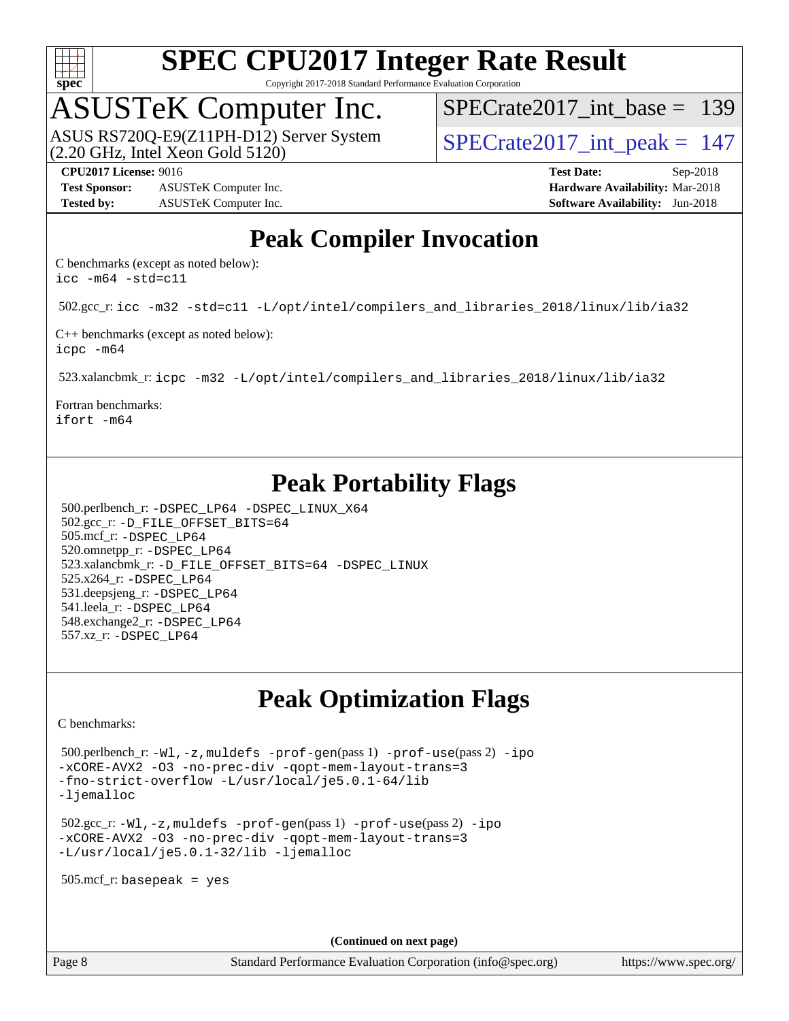

Copyright 2017-2018 Standard Performance Evaluation Corporation

## ASUSTeK Computer Inc.

(2.20 GHz, Intel Xeon Gold 5120) ASUS RS720Q-E9(Z11PH-D12) Server System  $\sqrt{\text{SPECrate}2017\_int\_peak} = 147$ 

[SPECrate2017\\_int\\_base =](http://www.spec.org/auto/cpu2017/Docs/result-fields.html#SPECrate2017intbase) 139

**[Test Sponsor:](http://www.spec.org/auto/cpu2017/Docs/result-fields.html#TestSponsor)** ASUSTeK Computer Inc. **[Hardware Availability:](http://www.spec.org/auto/cpu2017/Docs/result-fields.html#HardwareAvailability)** Mar-2018 **[Tested by:](http://www.spec.org/auto/cpu2017/Docs/result-fields.html#Testedby)** ASUSTeK Computer Inc. **[Software Availability:](http://www.spec.org/auto/cpu2017/Docs/result-fields.html#SoftwareAvailability)** Jun-2018

**[CPU2017 License:](http://www.spec.org/auto/cpu2017/Docs/result-fields.html#CPU2017License)** 9016 **[Test Date:](http://www.spec.org/auto/cpu2017/Docs/result-fields.html#TestDate)** Sep-2018

## **[Peak Compiler Invocation](http://www.spec.org/auto/cpu2017/Docs/result-fields.html#PeakCompilerInvocation)**

[C benchmarks \(except as noted below\)](http://www.spec.org/auto/cpu2017/Docs/result-fields.html#Cbenchmarksexceptasnotedbelow): [icc -m64 -std=c11](http://www.spec.org/cpu2017/results/res2018q4/cpu2017-20181015-09160.flags.html#user_CCpeak_intel_icc_64bit_c11_33ee0cdaae7deeeab2a9725423ba97205ce30f63b9926c2519791662299b76a0318f32ddfffdc46587804de3178b4f9328c46fa7c2b0cd779d7a61945c91cd35)

502.gcc\_r: [icc -m32 -std=c11 -L/opt/intel/compilers\\_and\\_libraries\\_2018/linux/lib/ia32](http://www.spec.org/cpu2017/results/res2018q4/cpu2017-20181015-09160.flags.html#user_peakCCLD502_gcc_r_intel_icc_2aadaa14f62c0e1495cde6f74ba3d875dfbad9f2fd73ceb1e5b66a7d4b19dc13cfe8615ba85624bf35f0c003544b7d55013bf72425d956b559f9a2757f69c910)

[C++ benchmarks \(except as noted below\):](http://www.spec.org/auto/cpu2017/Docs/result-fields.html#CXXbenchmarksexceptasnotedbelow) [icpc -m64](http://www.spec.org/cpu2017/results/res2018q4/cpu2017-20181015-09160.flags.html#user_CXXpeak_intel_icpc_64bit_4ecb2543ae3f1412ef961e0650ca070fec7b7afdcd6ed48761b84423119d1bf6bdf5cad15b44d48e7256388bc77273b966e5eb805aefd121eb22e9299b2ec9d9)

523.xalancbmk\_r: [icpc -m32 -L/opt/intel/compilers\\_and\\_libraries\\_2018/linux/lib/ia32](http://www.spec.org/cpu2017/results/res2018q4/cpu2017-20181015-09160.flags.html#user_peakCXXLD523_xalancbmk_r_intel_icpc_49b8c4a2e52517df5e44233d8730ac3dfca5acbb5ef11df3347e50260a55109134bcb7fd2e543798dfd93e66566a4e08776ad3f7d40a4ff4276870c090f61f0e)

[Fortran benchmarks](http://www.spec.org/auto/cpu2017/Docs/result-fields.html#Fortranbenchmarks): [ifort -m64](http://www.spec.org/cpu2017/results/res2018q4/cpu2017-20181015-09160.flags.html#user_FCpeak_intel_ifort_64bit_24f2bb282fbaeffd6157abe4f878425411749daecae9a33200eee2bee2fe76f3b89351d69a8130dd5949958ce389cf37ff59a95e7a40d588e8d3a57e0c3fd751)

## **[Peak Portability Flags](http://www.spec.org/auto/cpu2017/Docs/result-fields.html#PeakPortabilityFlags)**

 500.perlbench\_r: [-DSPEC\\_LP64](http://www.spec.org/cpu2017/results/res2018q4/cpu2017-20181015-09160.flags.html#b500.perlbench_r_peakPORTABILITY_DSPEC_LP64) [-DSPEC\\_LINUX\\_X64](http://www.spec.org/cpu2017/results/res2018q4/cpu2017-20181015-09160.flags.html#b500.perlbench_r_peakCPORTABILITY_DSPEC_LINUX_X64) 502.gcc\_r: [-D\\_FILE\\_OFFSET\\_BITS=64](http://www.spec.org/cpu2017/results/res2018q4/cpu2017-20181015-09160.flags.html#user_peakPORTABILITY502_gcc_r_file_offset_bits_64_5ae949a99b284ddf4e95728d47cb0843d81b2eb0e18bdfe74bbf0f61d0b064f4bda2f10ea5eb90e1dcab0e84dbc592acfc5018bc955c18609f94ddb8d550002c) 505.mcf\_r: [-DSPEC\\_LP64](http://www.spec.org/cpu2017/results/res2018q4/cpu2017-20181015-09160.flags.html#suite_peakPORTABILITY505_mcf_r_DSPEC_LP64) 520.omnetpp\_r: [-DSPEC\\_LP64](http://www.spec.org/cpu2017/results/res2018q4/cpu2017-20181015-09160.flags.html#suite_peakPORTABILITY520_omnetpp_r_DSPEC_LP64) 523.xalancbmk\_r: [-D\\_FILE\\_OFFSET\\_BITS=64](http://www.spec.org/cpu2017/results/res2018q4/cpu2017-20181015-09160.flags.html#user_peakPORTABILITY523_xalancbmk_r_file_offset_bits_64_5ae949a99b284ddf4e95728d47cb0843d81b2eb0e18bdfe74bbf0f61d0b064f4bda2f10ea5eb90e1dcab0e84dbc592acfc5018bc955c18609f94ddb8d550002c) [-DSPEC\\_LINUX](http://www.spec.org/cpu2017/results/res2018q4/cpu2017-20181015-09160.flags.html#b523.xalancbmk_r_peakCXXPORTABILITY_DSPEC_LINUX) 525.x264\_r: [-DSPEC\\_LP64](http://www.spec.org/cpu2017/results/res2018q4/cpu2017-20181015-09160.flags.html#suite_peakPORTABILITY525_x264_r_DSPEC_LP64) 531.deepsjeng\_r: [-DSPEC\\_LP64](http://www.spec.org/cpu2017/results/res2018q4/cpu2017-20181015-09160.flags.html#suite_peakPORTABILITY531_deepsjeng_r_DSPEC_LP64) 541.leela\_r: [-DSPEC\\_LP64](http://www.spec.org/cpu2017/results/res2018q4/cpu2017-20181015-09160.flags.html#suite_peakPORTABILITY541_leela_r_DSPEC_LP64) 548.exchange2\_r: [-DSPEC\\_LP64](http://www.spec.org/cpu2017/results/res2018q4/cpu2017-20181015-09160.flags.html#suite_peakPORTABILITY548_exchange2_r_DSPEC_LP64) 557.xz\_r: [-DSPEC\\_LP64](http://www.spec.org/cpu2017/results/res2018q4/cpu2017-20181015-09160.flags.html#suite_peakPORTABILITY557_xz_r_DSPEC_LP64)

## **[Peak Optimization Flags](http://www.spec.org/auto/cpu2017/Docs/result-fields.html#PeakOptimizationFlags)**

[C benchmarks](http://www.spec.org/auto/cpu2017/Docs/result-fields.html#Cbenchmarks):

 500.perlbench\_r: [-Wl,-z,muldefs](http://www.spec.org/cpu2017/results/res2018q4/cpu2017-20181015-09160.flags.html#user_peakEXTRA_LDFLAGS500_perlbench_r_link_force_multiple1_b4cbdb97b34bdee9ceefcfe54f4c8ea74255f0b02a4b23e853cdb0e18eb4525ac79b5a88067c842dd0ee6996c24547a27a4b99331201badda8798ef8a743f577) [-prof-gen](http://www.spec.org/cpu2017/results/res2018q4/cpu2017-20181015-09160.flags.html#user_peakPASS1_CFLAGSPASS1_LDFLAGS500_perlbench_r_prof_gen_5aa4926d6013ddb2a31985c654b3eb18169fc0c6952a63635c234f711e6e63dd76e94ad52365559451ec499a2cdb89e4dc58ba4c67ef54ca681ffbe1461d6b36)(pass 1) [-prof-use](http://www.spec.org/cpu2017/results/res2018q4/cpu2017-20181015-09160.flags.html#user_peakPASS2_CFLAGSPASS2_LDFLAGS500_perlbench_r_prof_use_1a21ceae95f36a2b53c25747139a6c16ca95bd9def2a207b4f0849963b97e94f5260e30a0c64f4bb623698870e679ca08317ef8150905d41bd88c6f78df73f19)(pass 2) [-ipo](http://www.spec.org/cpu2017/results/res2018q4/cpu2017-20181015-09160.flags.html#user_peakPASS1_COPTIMIZEPASS2_COPTIMIZE500_perlbench_r_f-ipo) [-xCORE-AVX2](http://www.spec.org/cpu2017/results/res2018q4/cpu2017-20181015-09160.flags.html#user_peakPASS2_COPTIMIZE500_perlbench_r_f-xCORE-AVX2) [-O3](http://www.spec.org/cpu2017/results/res2018q4/cpu2017-20181015-09160.flags.html#user_peakPASS1_COPTIMIZEPASS2_COPTIMIZE500_perlbench_r_f-O3) [-no-prec-div](http://www.spec.org/cpu2017/results/res2018q4/cpu2017-20181015-09160.flags.html#user_peakPASS1_COPTIMIZEPASS2_COPTIMIZE500_perlbench_r_f-no-prec-div) [-qopt-mem-layout-trans=3](http://www.spec.org/cpu2017/results/res2018q4/cpu2017-20181015-09160.flags.html#user_peakPASS1_COPTIMIZEPASS2_COPTIMIZE500_perlbench_r_f-qopt-mem-layout-trans_de80db37974c74b1f0e20d883f0b675c88c3b01e9d123adea9b28688d64333345fb62bc4a798493513fdb68f60282f9a726aa07f478b2f7113531aecce732043) [-fno-strict-overflow](http://www.spec.org/cpu2017/results/res2018q4/cpu2017-20181015-09160.flags.html#user_peakEXTRA_OPTIMIZE500_perlbench_r_f-fno-strict-overflow) [-L/usr/local/je5.0.1-64/lib](http://www.spec.org/cpu2017/results/res2018q4/cpu2017-20181015-09160.flags.html#user_peakEXTRA_LIBS500_perlbench_r_jemalloc_link_path64_4b10a636b7bce113509b17f3bd0d6226c5fb2346b9178c2d0232c14f04ab830f976640479e5c33dc2bcbbdad86ecfb6634cbbd4418746f06f368b512fced5394) [-ljemalloc](http://www.spec.org/cpu2017/results/res2018q4/cpu2017-20181015-09160.flags.html#user_peakEXTRA_LIBS500_perlbench_r_jemalloc_link_lib_d1249b907c500fa1c0672f44f562e3d0f79738ae9e3c4a9c376d49f265a04b9c99b167ecedbf6711b3085be911c67ff61f150a17b3472be731631ba4d0471706)

 502.gcc\_r: [-Wl,-z,muldefs](http://www.spec.org/cpu2017/results/res2018q4/cpu2017-20181015-09160.flags.html#user_peakEXTRA_LDFLAGS502_gcc_r_link_force_multiple1_b4cbdb97b34bdee9ceefcfe54f4c8ea74255f0b02a4b23e853cdb0e18eb4525ac79b5a88067c842dd0ee6996c24547a27a4b99331201badda8798ef8a743f577) [-prof-gen](http://www.spec.org/cpu2017/results/res2018q4/cpu2017-20181015-09160.flags.html#user_peakPASS1_CFLAGSPASS1_LDFLAGS502_gcc_r_prof_gen_5aa4926d6013ddb2a31985c654b3eb18169fc0c6952a63635c234f711e6e63dd76e94ad52365559451ec499a2cdb89e4dc58ba4c67ef54ca681ffbe1461d6b36)(pass 1) [-prof-use](http://www.spec.org/cpu2017/results/res2018q4/cpu2017-20181015-09160.flags.html#user_peakPASS2_CFLAGSPASS2_LDFLAGS502_gcc_r_prof_use_1a21ceae95f36a2b53c25747139a6c16ca95bd9def2a207b4f0849963b97e94f5260e30a0c64f4bb623698870e679ca08317ef8150905d41bd88c6f78df73f19)(pass 2) [-ipo](http://www.spec.org/cpu2017/results/res2018q4/cpu2017-20181015-09160.flags.html#user_peakPASS1_COPTIMIZEPASS2_COPTIMIZE502_gcc_r_f-ipo) [-xCORE-AVX2](http://www.spec.org/cpu2017/results/res2018q4/cpu2017-20181015-09160.flags.html#user_peakPASS2_COPTIMIZE502_gcc_r_f-xCORE-AVX2) [-O3](http://www.spec.org/cpu2017/results/res2018q4/cpu2017-20181015-09160.flags.html#user_peakPASS1_COPTIMIZEPASS2_COPTIMIZE502_gcc_r_f-O3) [-no-prec-div](http://www.spec.org/cpu2017/results/res2018q4/cpu2017-20181015-09160.flags.html#user_peakPASS1_COPTIMIZEPASS2_COPTIMIZE502_gcc_r_f-no-prec-div) [-qopt-mem-layout-trans=3](http://www.spec.org/cpu2017/results/res2018q4/cpu2017-20181015-09160.flags.html#user_peakPASS1_COPTIMIZEPASS2_COPTIMIZE502_gcc_r_f-qopt-mem-layout-trans_de80db37974c74b1f0e20d883f0b675c88c3b01e9d123adea9b28688d64333345fb62bc4a798493513fdb68f60282f9a726aa07f478b2f7113531aecce732043) [-L/usr/local/je5.0.1-32/lib](http://www.spec.org/cpu2017/results/res2018q4/cpu2017-20181015-09160.flags.html#user_peakEXTRA_LIBS502_gcc_r_jemalloc_link_path32_e29f22e8e6c17053bbc6a0971f5a9c01a601a06bb1a59df2084b77a2fe0a2995b64fd4256feaeea39eeba3aae142e96e2b2b0a28974019c0c0c88139a84f900a) [-ljemalloc](http://www.spec.org/cpu2017/results/res2018q4/cpu2017-20181015-09160.flags.html#user_peakEXTRA_LIBS502_gcc_r_jemalloc_link_lib_d1249b907c500fa1c0672f44f562e3d0f79738ae9e3c4a9c376d49f265a04b9c99b167ecedbf6711b3085be911c67ff61f150a17b3472be731631ba4d0471706)

505.mcf\_r: basepeak = yes

**(Continued on next page)**

Page 8 Standard Performance Evaluation Corporation [\(info@spec.org\)](mailto:info@spec.org) <https://www.spec.org/>